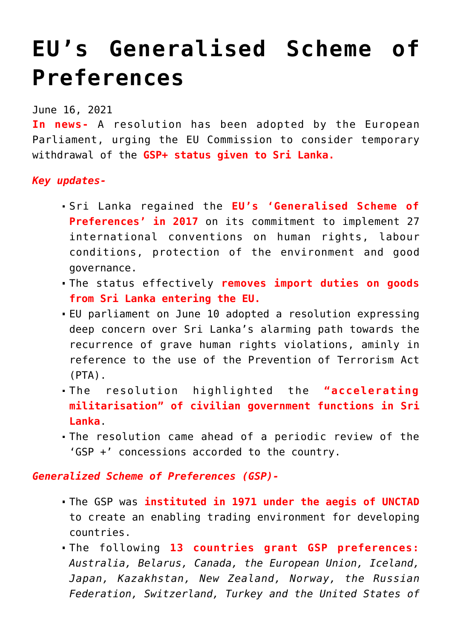## **[EU's Generalised Scheme of](https://journalsofindia.com/eus-generalised-scheme-of-preferences/) [Preferences](https://journalsofindia.com/eus-generalised-scheme-of-preferences/)**

June 16, 2021

**In news-** A resolution has been adopted by the European Parliament, urging the EU Commission to consider temporary withdrawal of the **GSP+ status given to Sri Lanka.**

*Key updates-*

- Sri Lanka regained the **EU's 'Generalised Scheme of Preferences' in 2017** on its commitment to implement 27 international conventions on human rights, labour conditions, protection of the environment and good governance.
- The status effectively **removes import duties on goods from Sri Lanka entering the EU.**
- EU parliament on June 10 adopted a resolution expressing deep concern over Sri Lanka's alarming path towards the recurrence of grave human rights violations, aminly in reference to the use of the Prevention of Terrorism Act (PTA).
- The resolution highlighted the **"accelerating militarisation" of civilian government functions in Sri Lanka**.
- The resolution came ahead of a periodic review of the 'GSP +' concessions accorded to the country.

*Generalized Scheme of Preferences (GSP)-*

- The GSP was **instituted in 1971 under the aegis of UNCTAD** to create an enabling trading environment for developing countries.
- The following **13 countries grant GSP preferences:** *Australia, Belarus, Canada, the European Union, Iceland, Japan, Kazakhstan, New Zealand, Norway, the Russian Federation, Switzerland, Turkey and the United States of*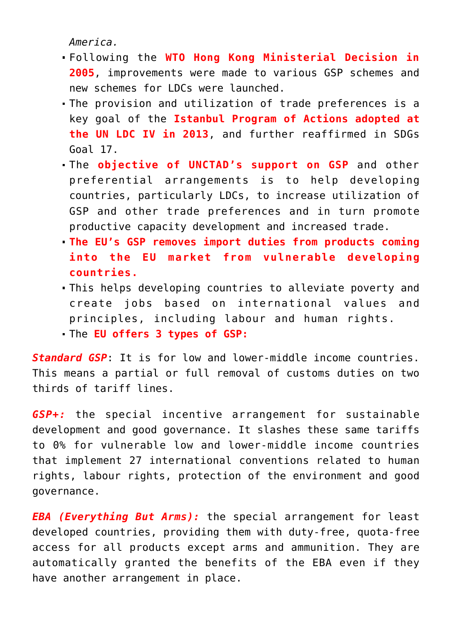*America.*

- Following the **WTO Hong Kong Ministerial Decision in 2005**, improvements were made to various GSP schemes and new schemes for LDCs were launched.
- The provision and utilization of trade preferences is a key goal of the **Istanbul Program of Actions adopted at the UN LDC IV in 2013**, and further reaffirmed in SDGs Goal 17.
- The **objective of UNCTAD's support on GSP** and other preferential arrangements is to help developing countries, particularly LDCs, to increase utilization of GSP and other trade preferences and in turn promote productive capacity development and increased trade.
- **The EU's GSP removes import duties from products coming into the EU market from vulnerable developing countries.**
- This helps developing countries to alleviate poverty and create jobs based on international values and principles, including labour and human rights.
- The **EU offers 3 types of GSP:**

*Standard GSP*: It is for low and lower-middle income countries. This means a partial or full removal of customs duties on two thirds of tariff lines.

*GSP+:* the special incentive arrangement for sustainable development and good governance. It slashes these same tariffs to 0% for vulnerable low and lower-middle income countries that implement 27 international conventions related to human rights, labour rights, protection of the environment and good governance.

*EBA (Everything But Arms):* the special arrangement for least developed countries, providing them with duty-free, quota-free access for all products except arms and ammunition. They are automatically granted the benefits of the EBA even if they have another arrangement in place.